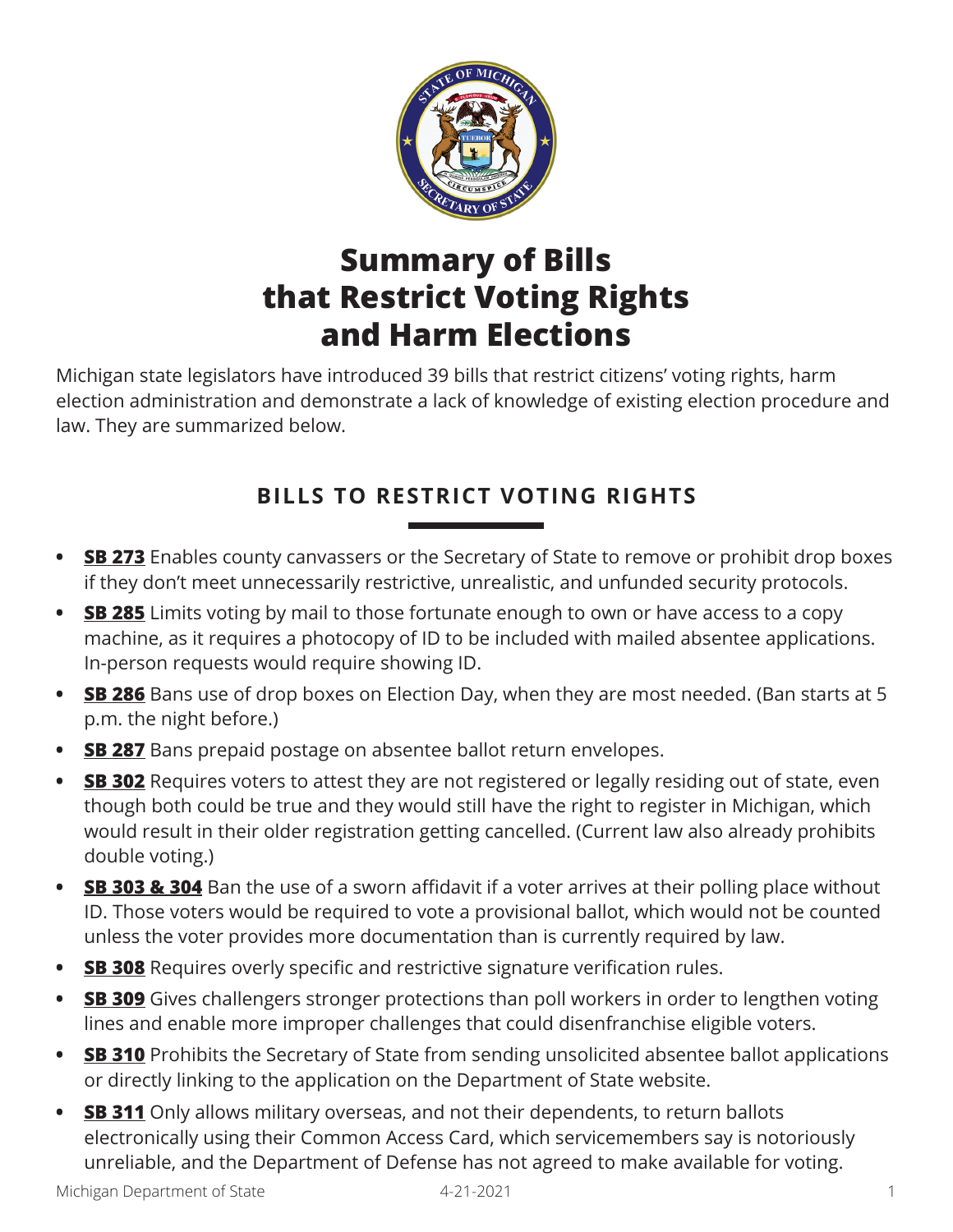

# **Summary of Bills that Restrict Voting Rights and Harm Elections**

Michigan state legislators have introduced 39 bills that restrict citizens' voting rights, harm election administration and demonstrate a lack of knowledge of existing election procedure and law. They are summarized below.

## **BILLS TO RESTRICT VOTING RIGHTS**

- **SB 273** Enables county canvassers or the Secretary of State to remove or prohibit drop boxes if they don't meet unnecessarily restrictive, unrealistic, and unfunded security protocols.
- **SB 285** Limits voting by mail to those fortunate enough to own or have access to a copy machine, as it requires a photocopy of ID to be included with mailed absentee applications. In-person requests would require showing ID.
- **<u>SB 286</u>** Bans use of drop boxes on Election Day, when they are most needed. (Ban starts at 5 p.m. the night before.)
- **SB 287** Bans prepaid postage on absentee ballot return envelopes.
- **SB 302** Requires voters to attest they are not registered or legally residing out of state, even though both could be true and they would still have the right to register in Michigan, which would result in their older registration getting cancelled. (Current law also already prohibits double voting.)
- **SB 303 & 304** Ban the use of a sworn affidavit if a voter arrives at their polling place without ID. Those voters would be required to vote a provisional ballot, which would not be counted unless the voter provides more documentation than is currently required by law.
- **SB 308** Requires overly specific and restrictive signature verification rules.
- **SB 309** Gives challengers stronger protections than poll workers in order to lengthen voting lines and enable more improper challenges that could disenfranchise eligible voters.
- **SB 310** Prohibits the Secretary of State from sending unsolicited absentee ballot applications or directly linking to the application on the Department of State website.
- **SB 311** Only allows military overseas, and not their dependents, to return ballots electronically using their Common Access Card, which servicemembers say is notoriously unreliable, and the Department of Defense has not agreed to make available for voting.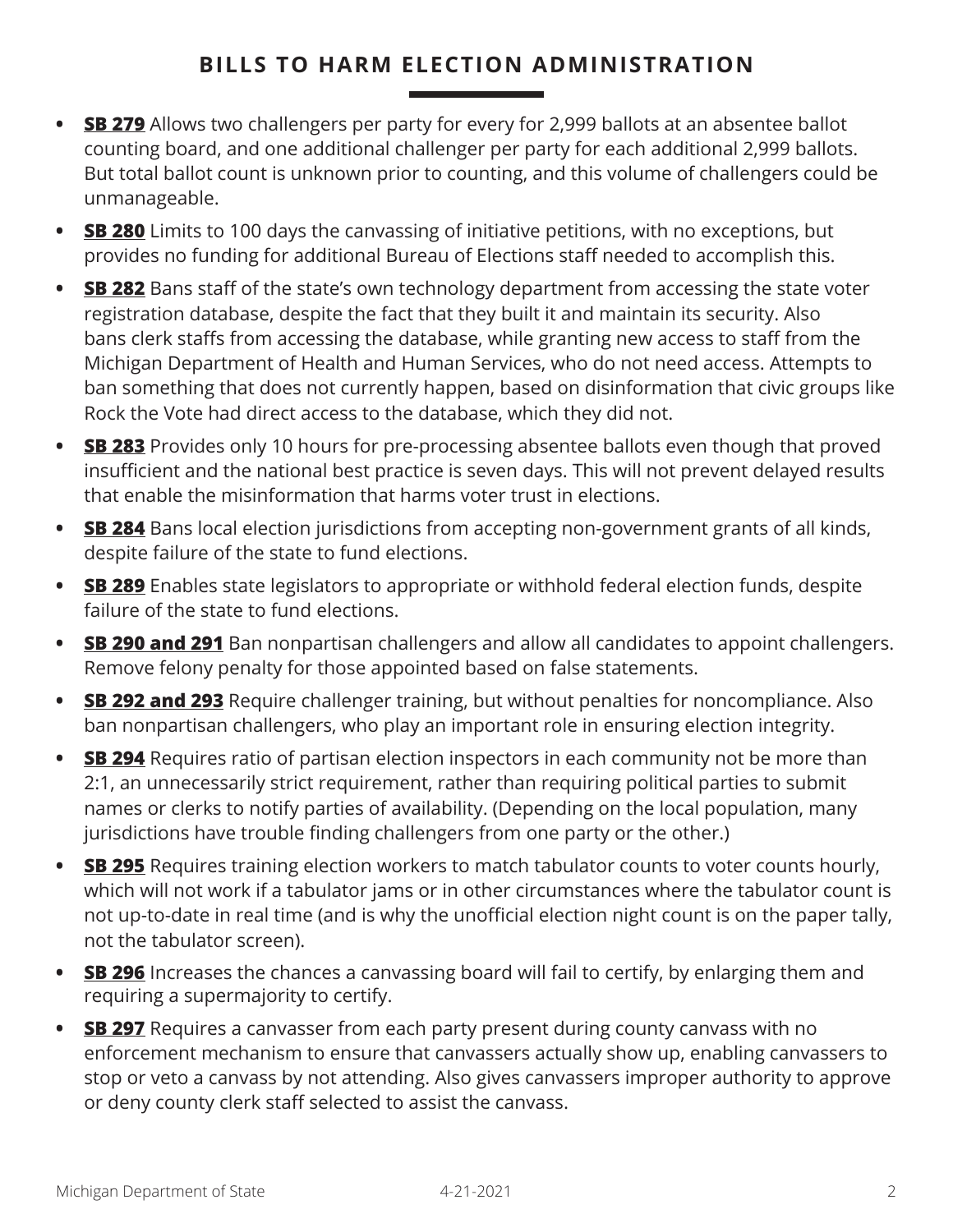#### **BILLS TO HARM ELECTION ADMINISTRATION**

- **SB 279** Allows two challengers per party for every for 2,999 ballots at an absentee ballot counting board, and one additional challenger per party for each additional 2,999 ballots. But total ballot count is unknown prior to counting, and this volume of challengers could be unmanageable.
- **SB 280** Limits to 100 days the canvassing of initiative petitions, with no exceptions, but provides no funding for additional Bureau of Elections staff needed to accomplish this.
- **SB 282** Bans staff of the state's own technology department from accessing the state voter registration database, despite the fact that they built it and maintain its security. Also bans clerk staffs from accessing the database, while granting new access to staff from the Michigan Department of Health and Human Services, who do not need access. Attempts to ban something that does not currently happen, based on disinformation that civic groups like Rock the Vote had direct access to the database, which they did not.
- **SB 283** Provides only 10 hours for pre-processing absentee ballots even though that proved insufficient and the national best practice is seven days. This will not prevent delayed results that enable the misinformation that harms voter trust in elections.
- **SB 284** Bans local election jurisdictions from accepting non-government grants of all kinds, despite failure of the state to fund elections.
- **SB 289** Enables state legislators to appropriate or withhold federal election funds, despite failure of the state to fund elections.
- **SB 290 and 291** Ban nonpartisan challengers and allow all candidates to appoint challengers. Remove felony penalty for those appointed based on false statements.
- **SB 292 and 293** Require challenger training, but without penalties for noncompliance. Also ban nonpartisan challengers, who play an important role in ensuring election integrity.
- **SB 294** Requires ratio of partisan election inspectors in each community not be more than 2:1, an unnecessarily strict requirement, rather than requiring political parties to submit names or clerks to notify parties of availability. (Depending on the local population, many jurisdictions have trouble finding challengers from one party or the other.)
- **SB 295** Requires training election workers to match tabulator counts to voter counts hourly, which will not work if a tabulator jams or in other circumstances where the tabulator count is not up-to-date in real time (and is why the unofficial election night count is on the paper tally, not the tabulator screen).
- **SB 296** Increases the chances a canvassing board will fail to certify, by enlarging them and requiring a supermajority to certify.
- **SB 297** Requires a canvasser from each party present during county canvass with no enforcement mechanism to ensure that canvassers actually show up, enabling canvassers to stop or veto a canvass by not attending. Also gives canvassers improper authority to approve or deny county clerk staff selected to assist the canvass.